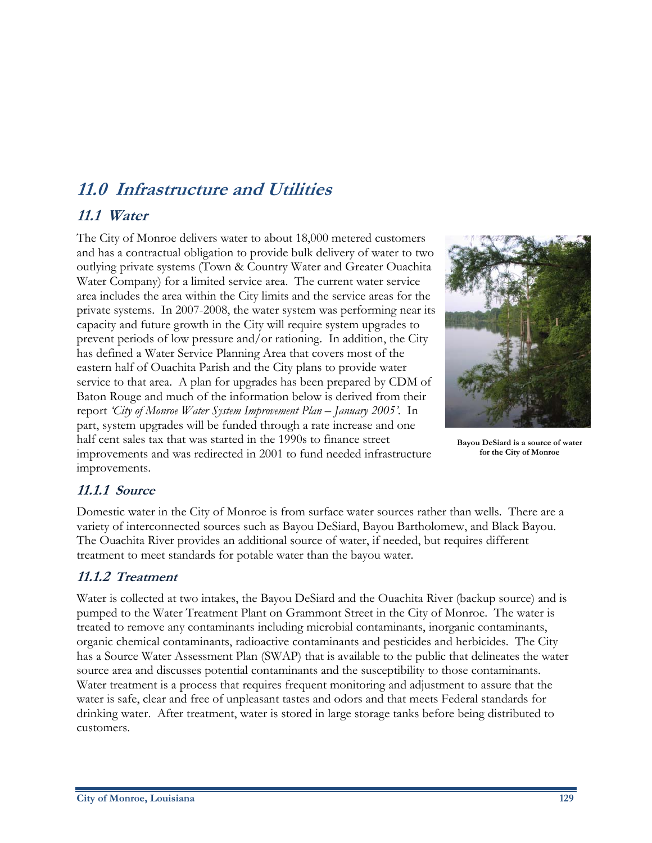# **11.0 Infrastructure and Utilities 11.1 Water**

The City of Monroe delivers water to about 18,000 metered customers and has a contractual obligation to provide bulk delivery of water to two outlying private systems (Town & Country Water and Greater Ouachita Water Company) for a limited service area. The current water service area includes the area within the City limits and the service areas for the private systems. In 2007-2008, the water system was performing near its capacity and future growth in the City will require system upgrades to prevent periods of low pressure and/or rationing. In addition, the City has defined a Water Service Planning Area that covers most of the eastern half of Ouachita Parish and the City plans to provide water service to that area. A plan for upgrades has been prepared by CDM of Baton Rouge and much of the information below is derived from their report *'City of Monroe Water System Improvement Plan – January 2005'*. In part, system upgrades will be funded through a rate increase and one half cent sales tax that was started in the 1990s to finance street improvements and was redirected in 2001 to fund needed infrastructure improvements.



**Bayou DeSiard is a source of water for the City of Monroe** 

# **11.1.1 Source**

Domestic water in the City of Monroe is from surface water sources rather than wells. There are a variety of interconnected sources such as Bayou DeSiard, Bayou Bartholomew, and Black Bayou. The Ouachita River provides an additional source of water, if needed, but requires different treatment to meet standards for potable water than the bayou water.

## **11.1.2 Treatment**

Water is collected at two intakes, the Bayou DeSiard and the Ouachita River (backup source) and is pumped to the Water Treatment Plant on Grammont Street in the City of Monroe. The water is treated to remove any contaminants including microbial contaminants, inorganic contaminants, organic chemical contaminants, radioactive contaminants and pesticides and herbicides. The City has a Source Water Assessment Plan (SWAP) that is available to the public that delineates the water source area and discusses potential contaminants and the susceptibility to those contaminants. Water treatment is a process that requires frequent monitoring and adjustment to assure that the water is safe, clear and free of unpleasant tastes and odors and that meets Federal standards for drinking water. After treatment, water is stored in large storage tanks before being distributed to customers.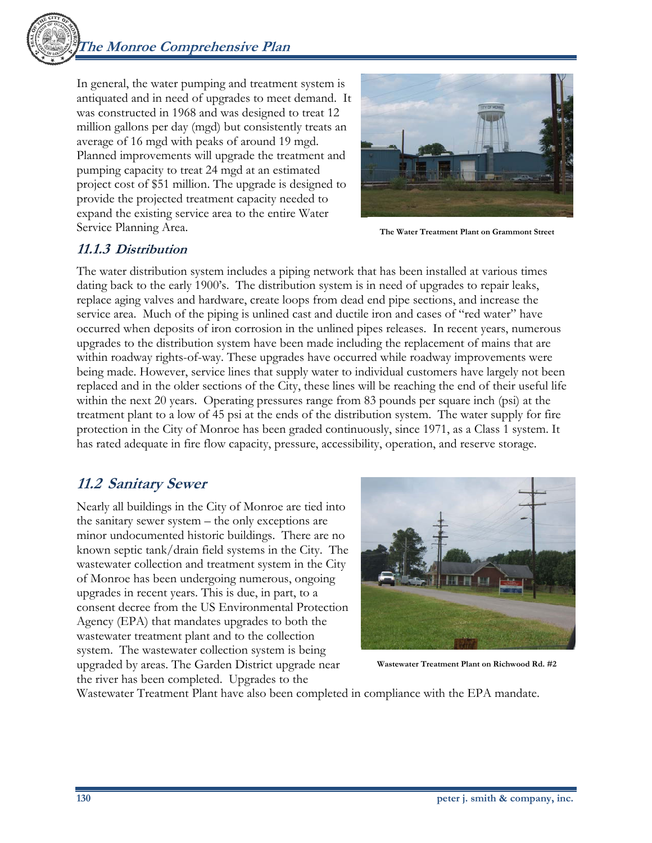In general, the water pumping and treatment system is antiquated and in need of upgrades to meet demand. It was constructed in 1968 and was designed to treat 12 million gallons per day (mgd) but consistently treats an average of 16 mgd with peaks of around 19 mgd. Planned improvements will upgrade the treatment and pumping capacity to treat 24 mgd at an estimated project cost of \$51 million. The upgrade is designed to provide the projected treatment capacity needed to expand the existing service area to the entire Water Service Planning Area.



**The Water Treatment Plant on Grammont Street** 

#### **11.1.3 Distribution**

The water distribution system includes a piping network that has been installed at various times dating back to the early 1900's. The distribution system is in need of upgrades to repair leaks, replace aging valves and hardware, create loops from dead end pipe sections, and increase the service area. Much of the piping is unlined cast and ductile iron and cases of "red water" have occurred when deposits of iron corrosion in the unlined pipes releases. In recent years, numerous upgrades to the distribution system have been made including the replacement of mains that are within roadway rights-of-way. These upgrades have occurred while roadway improvements were being made. However, service lines that supply water to individual customers have largely not been replaced and in the older sections of the City, these lines will be reaching the end of their useful life within the next 20 years. Operating pressures range from 83 pounds per square inch (psi) at the treatment plant to a low of 45 psi at the ends of the distribution system. The water supply for fire protection in the City of Monroe has been graded continuously, since 1971, as a Class 1 system. It has rated adequate in fire flow capacity, pressure, accessibility, operation, and reserve storage.

# **11.2 Sanitary Sewer**

Nearly all buildings in the City of Monroe are tied into the sanitary sewer system – the only exceptions are minor undocumented historic buildings. There are no known septic tank/drain field systems in the City. The wastewater collection and treatment system in the City of Monroe has been undergoing numerous, ongoing upgrades in recent years. This is due, in part, to a consent decree from the US Environmental Protection Agency (EPA) that mandates upgrades to both the wastewater treatment plant and to the collection system. The wastewater collection system is being upgraded by areas. The Garden District upgrade near the river has been completed. Upgrades to the



**Wastewater Treatment Plant on Richwood Rd. #2** 

Wastewater Treatment Plant have also been completed in compliance with the EPA mandate.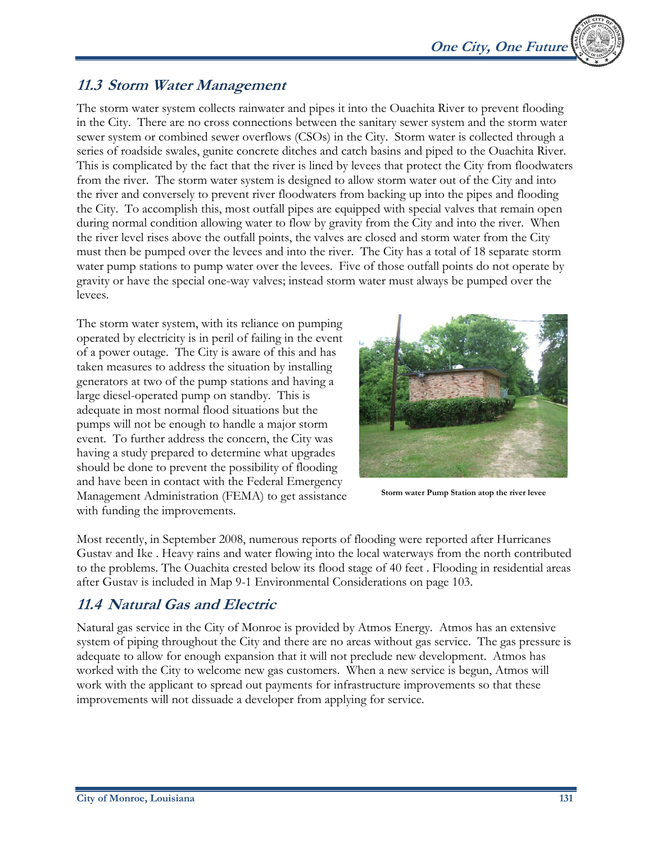

## **11.3 Storm Water Management**

The storm water system collects rainwater and pipes it into the Ouachita River to prevent flooding in the City. There are no cross connections between the sanitary sewer system and the storm water sewer system or combined sewer overflows (CSOs) in the City. Storm water is collected through a series of roadside swales, gunite concrete ditches and catch basins and piped to the Ouachita River. This is complicated by the fact that the river is lined by levees that protect the City from floodwaters from the river. The storm water system is designed to allow storm water out of the City and into the river and conversely to prevent river floodwaters from backing up into the pipes and flooding the City. To accomplish this, most outfall pipes are equipped with special valves that remain open during normal condition allowing water to flow by gravity from the City and into the river. When the river level rises above the outfall points, the valves are closed and storm water from the City must then be pumped over the levees and into the river. The City has a total of 18 separate storm water pump stations to pump water over the levees. Five of those outfall points do not operate by gravity or have the special one-way valves; instead storm water must always be pumped over the levees.

The storm water system, with its reliance on pumping operated by electricity is in peril of failing in the event of a power outage. The City is aware of this and has taken measures to address the situation by installing generators at two of the pump stations and having a large diesel-operated pump on standby. This is adequate in most normal flood situations but the pumps will not be enough to handle a major storm event. To further address the concern, the City was having a study prepared to determine what upgrades should be done to prevent the possibility of flooding and have been in contact with the Federal Emergency Management Administration (FEMA) to get assistance with funding the improvements.



**Storm water Pump Station atop the river levee** 

Most recently, in September 2008, numerous reports of flooding were reported after Hurricanes Gustav and Ike . Heavy rains and water flowing into the local waterways from the north contributed to the problems. The Ouachita crested below its flood stage of 40 feet . Flooding in residential areas after Gustav is included in Map 9-1 Environmental Considerations on page 103.

## **11.4 Natural Gas and Electric**

Natural gas service in the City of Monroe is provided by Atmos Energy. Atmos has an extensive system of piping throughout the City and there are no areas without gas service. The gas pressure is adequate to allow for enough expansion that it will not preclude new development. Atmos has worked with the City to welcome new gas customers. When a new service is begun, Atmos will work with the applicant to spread out payments for infrastructure improvements so that these improvements will not dissuade a developer from applying for service.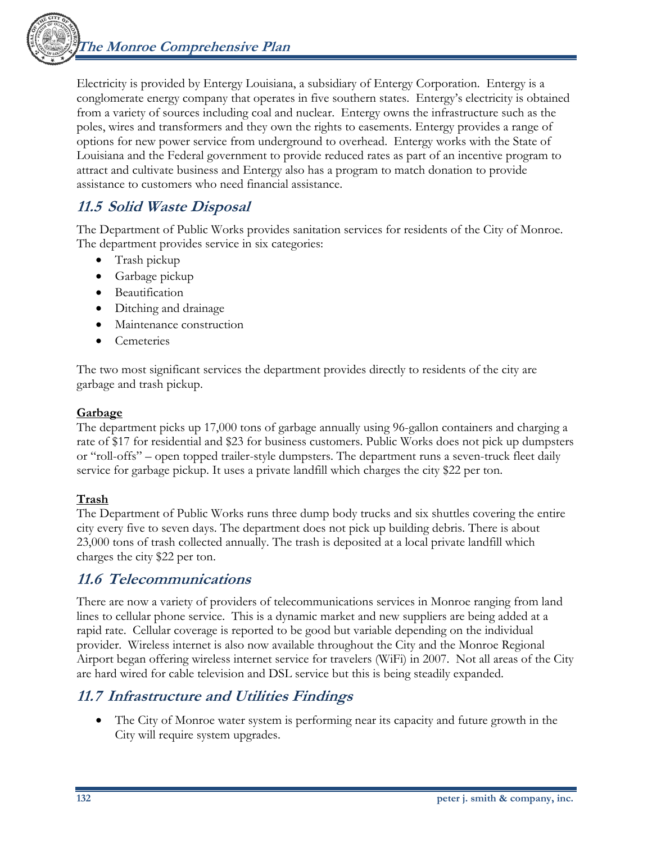**The Monroe Comprehensive Plan** 



Electricity is provided by Entergy Louisiana, a subsidiary of Entergy Corporation. Entergy is a conglomerate energy company that operates in five southern states. Entergy's electricity is obtained from a variety of sources including coal and nuclear. Entergy owns the infrastructure such as the poles, wires and transformers and they own the rights to easements. Entergy provides a range of options for new power service from underground to overhead. Entergy works with the State of Louisiana and the Federal government to provide reduced rates as part of an incentive program to attract and cultivate business and Entergy also has a program to match donation to provide assistance to customers who need financial assistance.

# **11.5 Solid Waste Disposal**

The Department of Public Works provides sanitation services for residents of the City of Monroe. The department provides service in six categories:

- Trash pickup
- Garbage pickup
- Beautification
- Ditching and drainage
- Maintenance construction
- **Cemeteries**

The two most significant services the department provides directly to residents of the city are garbage and trash pickup.

#### **Garbage**

The department picks up 17,000 tons of garbage annually using 96-gallon containers and charging a rate of \$17 for residential and \$23 for business customers. Public Works does not pick up dumpsters or "roll-offs" – open topped trailer-style dumpsters. The department runs a seven-truck fleet daily service for garbage pickup. It uses a private landfill which charges the city \$22 per ton.

#### **Trash**

The Department of Public Works runs three dump body trucks and six shuttles covering the entire city every five to seven days. The department does not pick up building debris. There is about 23,000 tons of trash collected annually. The trash is deposited at a local private landfill which charges the city \$22 per ton.

## **11.6 Telecommunications**

There are now a variety of providers of telecommunications services in Monroe ranging from land lines to cellular phone service. This is a dynamic market and new suppliers are being added at a rapid rate. Cellular coverage is reported to be good but variable depending on the individual provider. Wireless internet is also now available throughout the City and the Monroe Regional Airport began offering wireless internet service for travelers (WiFi) in 2007. Not all areas of the City are hard wired for cable television and DSL service but this is being steadily expanded.

# **11.7 Infrastructure and Utilities Findings**

• The City of Monroe water system is performing near its capacity and future growth in the City will require system upgrades.